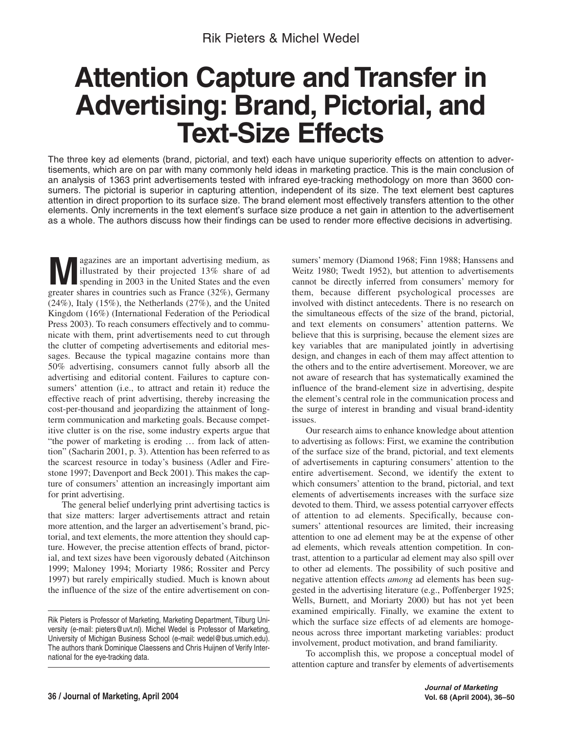# **Attention Capture and Transfer in Advertising: Brand, Pictorial, and Text-Size Effects**

The three key ad elements (brand, pictorial, and text) each have unique superiority effects on attention to advertisements, which are on par with many commonly held ideas in marketing practice. This is the main conclusion of an analysis of 1363 print advertisements tested with infrared eye-tracking methodology on more than 3600 consumers. The pictorial is superior in capturing attention, independent of its size. The text element best captures attention in direct proportion to its surface size. The brand element most effectively transfers attention to the other elements. Only increments in the text element's surface size produce a net gain in attention to the advertisement as a whole. The authors discuss how their findings can be used to render more effective decisions in advertising.

**Magazines are an important advertising medium, as illustrated by their projected 13% share of adspending in 2003 in the United States and the even<br>greater shares in countries such as France (32%). Germany** illustrated by their projected 13% share of ad spending in 2003 in the United States and the even greater shares in countries such as France (32%), Germany (24%), Italy (15%), the Netherlands (27%), and the United Kingdom (16%) (International Federation of the Periodical Press 2003). To reach consumers effectively and to communicate with them, print advertisements need to cut through the clutter of competing advertisements and editorial messages. Because the typical magazine contains more than 50% advertising, consumers cannot fully absorb all the advertising and editorial content. Failures to capture consumers' attention (i.e., to attract and retain it) reduce the effective reach of print advertising, thereby increasing the cost-per-thousand and jeopardizing the attainment of longterm communication and marketing goals. Because competitive clutter is on the rise, some industry experts argue that "the power of marketing is eroding … from lack of attention" (Sacharin 2001, p. 3). Attention has been referred to as the scarcest resource in today's business (Adler and Firestone 1997; Davenport and Beck 2001). This makes the capture of consumers' attention an increasingly important aim for print advertising.

The general belief underlying print advertising tactics is that size matters: larger advertisements attract and retain more attention, and the larger an advertisement's brand, pictorial, and text elements, the more attention they should capture. However, the precise attention effects of brand, pictorial, and text sizes have been vigorously debated (Aitchinson 1999; Maloney 1994; Moriarty 1986; Rossiter and Percy 1997) but rarely empirically studied. Much is known about the influence of the size of the entire advertisement on consumers' memory (Diamond 1968; Finn 1988; Hanssens and Weitz 1980; Twedt 1952), but attention to advertisements cannot be directly inferred from consumers' memory for them, because different psychological processes are involved with distinct antecedents. There is no research on the simultaneous effects of the size of the brand, pictorial, and text elements on consumers' attention patterns. We believe that this is surprising, because the element sizes are key variables that are manipulated jointly in advertising design, and changes in each of them may affect attention to the others and to the entire advertisement. Moreover, we are not aware of research that has systematically examined the influence of the brand-element size in advertising, despite the element's central role in the communication process and the surge of interest in branding and visual brand-identity issues.

Our research aims to enhance knowledge about attention to advertising as follows: First, we examine the contribution of the surface size of the brand, pictorial, and text elements of advertisements in capturing consumers' attention to the entire advertisement. Second, we identify the extent to which consumers' attention to the brand, pictorial, and text elements of advertisements increases with the surface size devoted to them. Third, we assess potential carryover effects of attention to ad elements. Specifically, because consumers' attentional resources are limited, their increasing attention to one ad element may be at the expense of other ad elements, which reveals attention competition. In contrast, attention to a particular ad element may also spill over to other ad elements. The possibility of such positive and negative attention effects *among* ad elements has been suggested in the advertising literature (e.g., Poffenberger 1925; Wells, Burnett, and Moriarty 2000) but has not yet been examined empirically. Finally, we examine the extent to which the surface size effects of ad elements are homogeneous across three important marketing variables: product involvement, product motivation, and brand familiarity.

To accomplish this, we propose a conceptual model of attention capture and transfer by elements of advertisements

Rik Pieters is Professor of Marketing, Marketing Department, Tilburg University (e-mail: pieters@uvt.nl). Michel Wedel is Professor of Marketing, University of Michigan Business School (e-mail: wedel@bus.umich.edu). The authors thank Dominique Claessens and Chris Huijnen of Verify International for the eye-tracking data.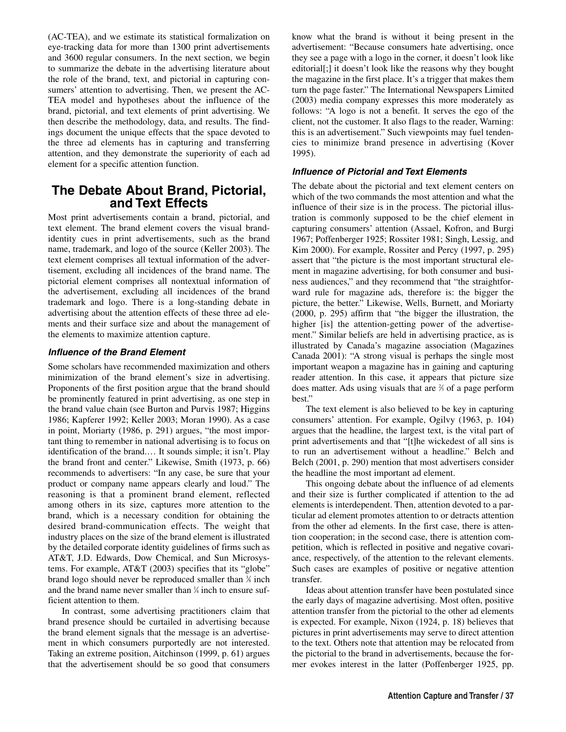(AC-TEA), and we estimate its statistical formalization on eye-tracking data for more than 1300 print advertisements and 3600 regular consumers. In the next section, we begin to summarize the debate in the advertising literature about the role of the brand, text, and pictorial in capturing consumers' attention to advertising. Then, we present the AC-TEA model and hypotheses about the influence of the brand, pictorial, and text elements of print advertising. We then describe the methodology, data, and results. The findings document the unique effects that the space devoted to the three ad elements has in capturing and transferring attention, and they demonstrate the superiority of each ad element for a specific attention function.

# **The Debate About Brand, Pictorial, and Text Effects**

Most print advertisements contain a brand, pictorial, and text element. The brand element covers the visual brandidentity cues in print advertisements, such as the brand name, trademark, and logo of the source (Keller 2003). The text element comprises all textual information of the advertisement, excluding all incidences of the brand name. The pictorial element comprises all nontextual information of the advertisement, excluding all incidences of the brand trademark and logo. There is a long-standing debate in advertising about the attention effects of these three ad elements and their surface size and about the management of the elements to maximize attention capture.

#### *Influence of the Brand Element*

Some scholars have recommended maximization and others minimization of the brand element's size in advertising. Proponents of the first position argue that the brand should be prominently featured in print advertising, as one step in the brand value chain (see Burton and Purvis 1987; Higgins 1986; Kapferer 1992; Keller 2003; Moran 1990). As a case in point, Moriarty (1986, p. 291) argues, "the most important thing to remember in national advertising is to focus on identification of the brand.… It sounds simple; it isn't. Play the brand front and center." Likewise, Smith (1973, p. 66) recommends to advertisers: "In any case, be sure that your product or company name appears clearly and loud." The reasoning is that a prominent brand element, reflected among others in its size, captures more attention to the brand, which is a necessary condition for obtaining the desired brand-communication effects. The weight that industry places on the size of the brand element is illustrated by the detailed corporate identity guidelines of firms such as AT&T, J.D. Edwards, Dow Chemical, and Sun Microsystems. For example, AT&T (2003) specifies that its "globe" brand logo should never be reproduced smaller than <sup>3</sup>/<sub>8</sub> inch and the brand name never smaller than  $\frac{1}{4}$  inch to ensure sufficient attention to them.

In contrast, some advertising practitioners claim that brand presence should be curtailed in advertising because the brand element signals that the message is an advertisement in which consumers purportedly are not interested. Taking an extreme position, Aitchinson (1999, p. 61) argues that the advertisement should be so good that consumers know what the brand is without it being present in the advertisement: "Because consumers hate advertising, once they see a page with a logo in the corner, it doesn't look like editorial[;] it doesn't look like the reasons why they bought the magazine in the first place. It's a trigger that makes them turn the page faster." The International Newspapers Limited (2003) media company expresses this more moderately as follows: "A logo is not a benefit. It serves the ego of the client, not the customer. It also flags to the reader, Warning: this is an advertisement." Such viewpoints may fuel tendencies to minimize brand presence in advertising (Kover 1995).

#### *Influence of Pictorial and Text Elements*

The debate about the pictorial and text element centers on which of the two commands the most attention and what the influence of their size is in the process. The pictorial illustration is commonly supposed to be the chief element in capturing consumers' attention (Assael, Kofron, and Burgi 1967; Poffenberger 1925; Rossiter 1981; Singh, Lessig, and Kim 2000). For example, Rossiter and Percy (1997, p. 295) assert that "the picture is the most important structural element in magazine advertising, for both consumer and business audiences," and they recommend that "the straightforward rule for magazine ads, therefore is: the bigger the picture, the better." Likewise, Wells, Burnett, and Moriarty (2000, p. 295) affirm that "the bigger the illustration, the higher [is] the attention-getting power of the advertisement." Similar beliefs are held in advertising practice, as is illustrated by Canada's magazine association (Magazines Canada 2001): "A strong visual is perhaps the single most important weapon a magazine has in gaining and capturing reader attention. In this case, it appears that picture size does matter. Ads using visuals that are  $\frac{2}{3}$  of a page perform best."

The text element is also believed to be key in capturing consumers' attention. For example, Ogilvy (1963, p. 104) argues that the headline, the largest text, is the vital part of print advertisements and that "[t]he wickedest of all sins is to run an advertisement without a headline." Belch and Belch (2001, p. 290) mention that most advertisers consider the headline the most important ad element.

This ongoing debate about the influence of ad elements and their size is further complicated if attention to the ad elements is interdependent. Then, attention devoted to a particular ad element promotes attention to or detracts attention from the other ad elements. In the first case, there is attention cooperation; in the second case, there is attention competition, which is reflected in positive and negative covariance, respectively, of the attention to the relevant elements. Such cases are examples of positive or negative attention transfer.

Ideas about attention transfer have been postulated since the early days of magazine advertising. Most often, positive attention transfer from the pictorial to the other ad elements is expected. For example, Nixon (1924, p. 18) believes that pictures in print advertisements may serve to direct attention to the text. Others note that attention may be relocated from the pictorial to the brand in advertisements, because the former evokes interest in the latter (Poffenberger 1925, pp.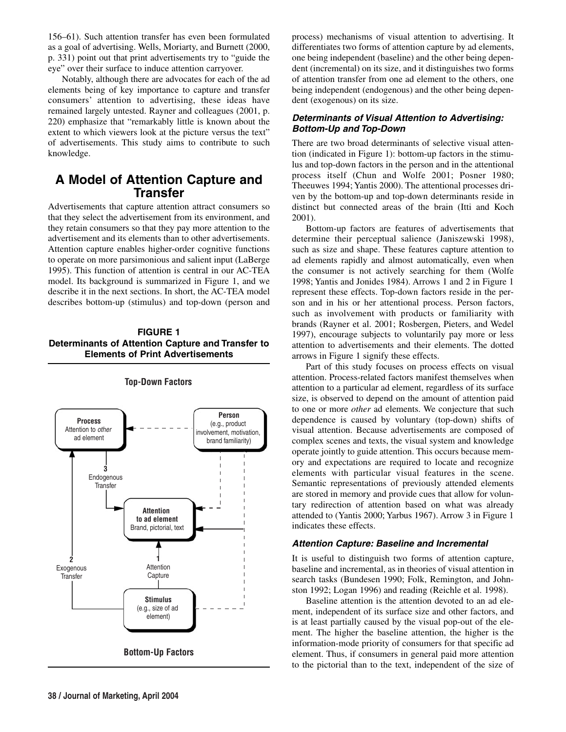156–61). Such attention transfer has even been formulated as a goal of advertising. Wells, Moriarty, and Burnett (2000, p. 331) point out that print advertisements try to "guide the eye" over their surface to induce attention carryover.

Notably, although there are advocates for each of the ad elements being of key importance to capture and transfer consumers' attention to advertising, these ideas have remained largely untested. Rayner and colleagues (2001, p. 220) emphasize that "remarkably little is known about the extent to which viewers look at the picture versus the text" of advertisements. This study aims to contribute to such knowledge.

# **A Model of Attention Capture and Transfer**

Advertisements that capture attention attract consumers so that they select the advertisement from its environment, and they retain consumers so that they pay more attention to the advertisement and its elements than to other advertisements. Attention capture enables higher-order cognitive functions to operate on more parsimonious and salient input (LaBerge 1995). This function of attention is central in our AC-TEA model. Its background is summarized in Figure 1, and we describe it in the next sections. In short, the AC-TEA model describes bottom-up (stimulus) and top-down (person and

## **FIGURE 1 Determinants of Attention Capture and Transfer to Elements of Print Advertisements**



**Top-Down Factors**

process) mechanisms of visual attention to advertising. It differentiates two forms of attention capture by ad elements, one being independent (baseline) and the other being dependent (incremental) on its size, and it distinguishes two forms of attention transfer from one ad element to the others, one being independent (endogenous) and the other being dependent (exogenous) on its size.

## *Determinants of Visual Attention to Advertising: Bottom-Up and Top-Down*

There are two broad determinants of selective visual attention (indicated in Figure 1): bottom-up factors in the stimulus and top-down factors in the person and in the attentional process itself (Chun and Wolfe 2001; Posner 1980; Theeuwes 1994; Yantis 2000). The attentional processes driven by the bottom-up and top-down determinants reside in distinct but connected areas of the brain (Itti and Koch 2001).

Bottom-up factors are features of advertisements that determine their perceptual salience (Janiszewski 1998), such as size and shape. These features capture attention to ad elements rapidly and almost automatically, even when the consumer is not actively searching for them (Wolfe 1998; Yantis and Jonides 1984). Arrows 1 and 2 in Figure 1 represent these effects. Top-down factors reside in the person and in his or her attentional process. Person factors, such as involvement with products or familiarity with brands (Rayner et al. 2001; Rosbergen, Pieters, and Wedel 1997), encourage subjects to voluntarily pay more or less attention to advertisements and their elements. The dotted arrows in Figure 1 signify these effects.

Part of this study focuses on process effects on visual attention. Process-related factors manifest themselves when attention to a particular ad element, regardless of its surface size, is observed to depend on the amount of attention paid to one or more *other* ad elements. We conjecture that such dependence is caused by voluntary (top-down) shifts of visual attention. Because advertisements are composed of complex scenes and texts, the visual system and knowledge operate jointly to guide attention. This occurs because memory and expectations are required to locate and recognize elements with particular visual features in the scene. Semantic representations of previously attended elements are stored in memory and provide cues that allow for voluntary redirection of attention based on what was already attended to (Yantis 2000; Yarbus 1967). Arrow 3 in Figure 1 indicates these effects.

## *Attention Capture: Baseline and Incremental*

It is useful to distinguish two forms of attention capture, baseline and incremental, as in theories of visual attention in search tasks (Bundesen 1990; Folk, Remington, and Johnston 1992; Logan 1996) and reading (Reichle et al. 1998).

Baseline attention is the attention devoted to an ad element, independent of its surface size and other factors, and is at least partially caused by the visual pop-out of the element. The higher the baseline attention, the higher is the information-mode priority of consumers for that specific ad element. Thus, if consumers in general paid more attention to the pictorial than to the text, independent of the size of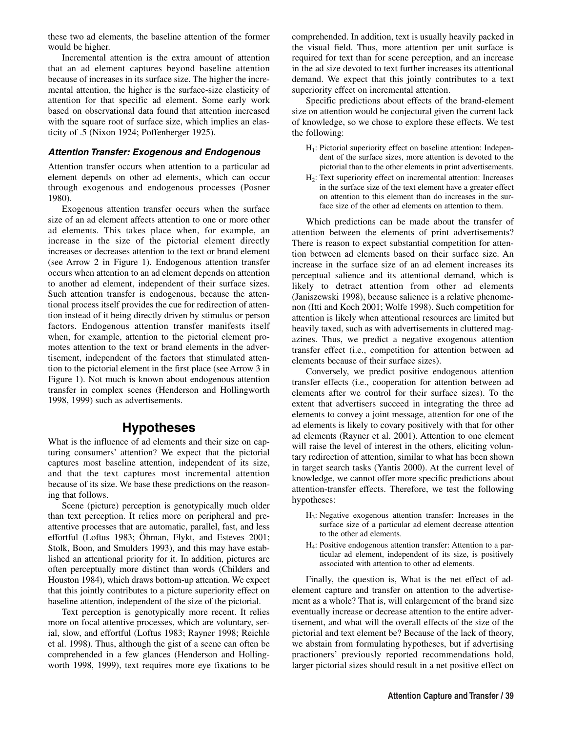these two ad elements, the baseline attention of the former would be higher.

Incremental attention is the extra amount of attention that an ad element captures beyond baseline attention because of increases in its surface size. The higher the incremental attention, the higher is the surface-size elasticity of attention for that specific ad element. Some early work based on observational data found that attention increased with the square root of surface size, which implies an elasticity of .5 (Nixon 1924; Poffenberger 1925).

#### *Attention Transfer: Exogenous and Endogenous*

Attention transfer occurs when attention to a particular ad element depends on other ad elements, which can occur through exogenous and endogenous processes (Posner 1980).

Exogenous attention transfer occurs when the surface size of an ad element affects attention to one or more other ad elements. This takes place when, for example, an increase in the size of the pictorial element directly increases or decreases attention to the text or brand element (see Arrow 2 in Figure 1). Endogenous attention transfer occurs when attention to an ad element depends on attention to another ad element, independent of their surface sizes. Such attention transfer is endogenous, because the attentional process itself provides the cue for redirection of attention instead of it being directly driven by stimulus or person factors. Endogenous attention transfer manifests itself when, for example, attention to the pictorial element promotes attention to the text or brand elements in the advertisement, independent of the factors that stimulated attention to the pictorial element in the first place (see Arrow 3 in Figure 1). Not much is known about endogenous attention transfer in complex scenes (Henderson and Hollingworth 1998, 1999) such as advertisements.

# **Hypotheses**

What is the influence of ad elements and their size on capturing consumers' attention? We expect that the pictorial captures most baseline attention, independent of its size, and that the text captures most incremental attention because of its size. We base these predictions on the reasoning that follows.

Scene (picture) perception is genotypically much older than text perception. It relies more on peripheral and preattentive processes that are automatic, parallel, fast, and less effortful (Loftus 1983; Öhman, Flykt, and Esteves 2001; Stolk, Boon, and Smulders 1993), and this may have established an attentional priority for it. In addition, pictures are often perceptually more distinct than words (Childers and Houston 1984), which draws bottom-up attention. We expect that this jointly contributes to a picture superiority effect on baseline attention, independent of the size of the pictorial.

Text perception is genotypically more recent. It relies more on focal attentive processes, which are voluntary, serial, slow, and effortful (Loftus 1983; Rayner 1998; Reichle et al. 1998). Thus, although the gist of a scene can often be comprehended in a few glances (Henderson and Hollingworth 1998, 1999), text requires more eye fixations to be

comprehended. In addition, text is usually heavily packed in the visual field. Thus, more attention per unit surface is required for text than for scene perception, and an increase in the ad size devoted to text further increases its attentional demand. We expect that this jointly contributes to a text superiority effect on incremental attention.

Specific predictions about effects of the brand-element size on attention would be conjectural given the current lack of knowledge, so we chose to explore these effects. We test the following:

- H1: Pictorial superiority effect on baseline attention: Independent of the surface sizes, more attention is devoted to the pictorial than to the other elements in print advertisements.
- H2: Text superiority effect on incremental attention: Increases in the surface size of the text element have a greater effect on attention to this element than do increases in the surface size of the other ad elements on attention to them.

Which predictions can be made about the transfer of attention between the elements of print advertisements? There is reason to expect substantial competition for attention between ad elements based on their surface size. An increase in the surface size of an ad element increases its perceptual salience and its attentional demand, which is likely to detract attention from other ad elements (Janiszewski 1998), because salience is a relative phenomenon (Itti and Koch 2001; Wolfe 1998). Such competition for attention is likely when attentional resources are limited but heavily taxed, such as with advertisements in cluttered magazines. Thus, we predict a negative exogenous attention transfer effect (i.e., competition for attention between ad elements because of their surface sizes).

Conversely, we predict positive endogenous attention transfer effects (i.e., cooperation for attention between ad elements after we control for their surface sizes). To the extent that advertisers succeed in integrating the three ad elements to convey a joint message, attention for one of the ad elements is likely to covary positively with that for other ad elements (Rayner et al. 2001). Attention to one element will raise the level of interest in the others, eliciting voluntary redirection of attention, similar to what has been shown in target search tasks (Yantis 2000). At the current level of knowledge, we cannot offer more specific predictions about attention-transfer effects. Therefore, we test the following hypotheses:

- H3: Negative exogenous attention transfer: Increases in the surface size of a particular ad element decrease attention to the other ad elements.
- H4: Positive endogenous attention transfer: Attention to a particular ad element, independent of its size, is positively associated with attention to other ad elements.

Finally, the question is, What is the net effect of adelement capture and transfer on attention to the advertisement as a whole? That is, will enlargement of the brand size eventually increase or decrease attention to the entire advertisement, and what will the overall effects of the size of the pictorial and text element be? Because of the lack of theory, we abstain from formulating hypotheses, but if advertising practioners' previously reported recommendations hold, larger pictorial sizes should result in a net positive effect on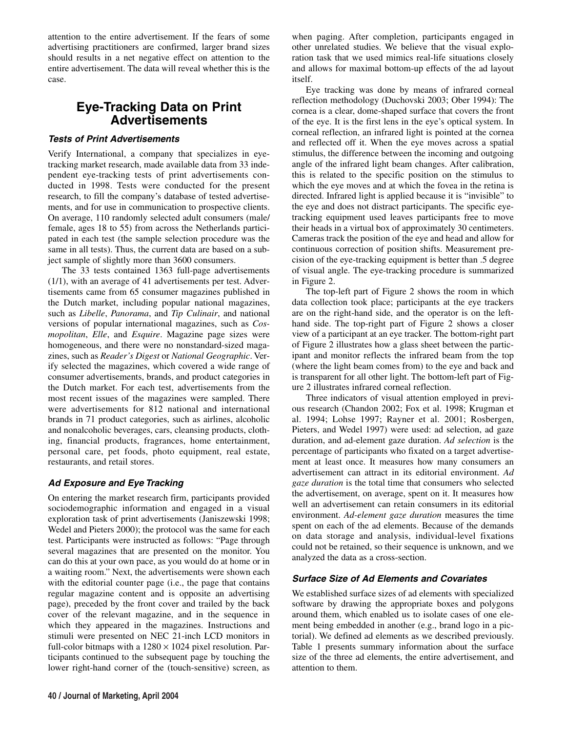attention to the entire advertisement. If the fears of some advertising practitioners are confirmed, larger brand sizes should results in a net negative effect on attention to the entire advertisement. The data will reveal whether this is the case.

# **Eye-Tracking Data on Print Advertisements**

#### *Tests of Print Advertisements*

Verify International, a company that specializes in eyetracking market research, made available data from 33 independent eye-tracking tests of print advertisements conducted in 1998. Tests were conducted for the present research, to fill the company's database of tested advertisements, and for use in communication to prospective clients. On average, 110 randomly selected adult consumers (male/ female, ages 18 to 55) from across the Netherlands participated in each test (the sample selection procedure was the same in all tests). Thus, the current data are based on a subject sample of slightly more than 3600 consumers.

The 33 tests contained 1363 full-page advertisements (1/1), with an average of 41 advertisements per test. Advertisements came from 65 consumer magazines published in the Dutch market, including popular national magazines, such as *Libelle*, *Panorama*, and *Tip Culinair*, and national versions of popular international magazines, such as *Cosmopolitan*, *Elle*, and *Esquire*. Magazine page sizes were homogeneous, and there were no nonstandard-sized magazines, such as *Reader's Digest* or *National Geographic*. Verify selected the magazines, which covered a wide range of consumer advertisements, brands, and product categories in the Dutch market. For each test, advertisements from the most recent issues of the magazines were sampled. There were advertisements for 812 national and international brands in 71 product categories, such as airlines, alcoholic and nonalcoholic beverages, cars, cleansing products, clothing, financial products, fragrances, home entertainment, personal care, pet foods, photo equipment, real estate, restaurants, and retail stores.

# *Ad Exposure and Eye Tracking*

On entering the market research firm, participants provided sociodemographic information and engaged in a visual exploration task of print advertisements (Janiszewski 1998; Wedel and Pieters 2000); the protocol was the same for each test. Participants were instructed as follows: "Page through several magazines that are presented on the monitor. You can do this at your own pace, as you would do at home or in a waiting room." Next, the advertisements were shown each with the editorial counter page (i.e., the page that contains regular magazine content and is opposite an advertising page), preceded by the front cover and trailed by the back cover of the relevant magazine, and in the sequence in which they appeared in the magazines. Instructions and stimuli were presented on NEC 21-inch LCD monitors in full-color bitmaps with a  $1280 \times 1024$  pixel resolution. Participants continued to the subsequent page by touching the lower right-hand corner of the (touch-sensitive) screen, as

when paging. After completion, participants engaged in other unrelated studies. We believe that the visual exploration task that we used mimics real-life situations closely and allows for maximal bottom-up effects of the ad layout itself.

Eye tracking was done by means of infrared corneal reflection methodology (Duchovski 2003; Ober 1994): The cornea is a clear, dome-shaped surface that covers the front of the eye. It is the first lens in the eye's optical system. In corneal reflection, an infrared light is pointed at the cornea and reflected off it. When the eye moves across a spatial stimulus, the difference between the incoming and outgoing angle of the infrared light beam changes. After calibration, this is related to the specific position on the stimulus to which the eye moves and at which the fovea in the retina is directed. Infrared light is applied because it is "invisible" to the eye and does not distract participants. The specific eyetracking equipment used leaves participants free to move their heads in a virtual box of approximately 30 centimeters. Cameras track the position of the eye and head and allow for continuous correction of position shifts. Measurement precision of the eye-tracking equipment is better than .5 degree of visual angle. The eye-tracking procedure is summarized in Figure 2.

The top-left part of Figure 2 shows the room in which data collection took place; participants at the eye trackers are on the right-hand side, and the operator is on the lefthand side. The top-right part of Figure 2 shows a closer view of a participant at an eye tracker. The bottom-right part of Figure 2 illustrates how a glass sheet between the participant and monitor reflects the infrared beam from the top (where the light beam comes from) to the eye and back and is transparent for all other light. The bottom-left part of Figure 2 illustrates infrared corneal reflection.

Three indicators of visual attention employed in previous research (Chandon 2002; Fox et al. 1998; Krugman et al. 1994; Lohse 1997; Rayner et al. 2001; Rosbergen, Pieters, and Wedel 1997) were used: ad selection, ad gaze duration, and ad-element gaze duration. *Ad selection* is the percentage of participants who fixated on a target advertisement at least once. It measures how many consumers an advertisement can attract in its editorial environment. *Ad gaze duration* is the total time that consumers who selected the advertisement, on average, spent on it. It measures how well an advertisement can retain consumers in its editorial environment. *Ad-element gaze duration* measures the time spent on each of the ad elements. Because of the demands on data storage and analysis, individual-level fixations could not be retained, so their sequence is unknown, and we analyzed the data as a cross-section.

## *Surface Size of Ad Elements and Covariates*

We established surface sizes of ad elements with specialized software by drawing the appropriate boxes and polygons around them, which enabled us to isolate cases of one element being embedded in another (e.g., brand logo in a pictorial). We defined ad elements as we described previously. Table 1 presents summary information about the surface size of the three ad elements, the entire advertisement, and attention to them.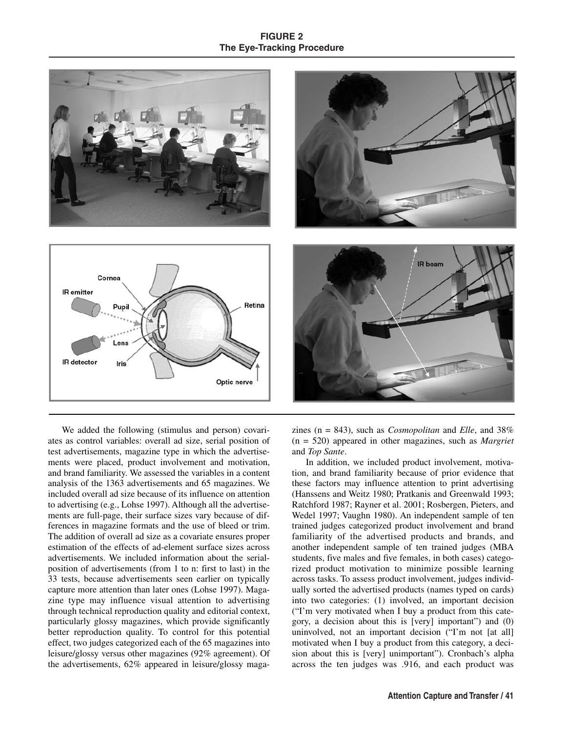## **FIGURE 2 The Eye-Tracking Procedure**



We added the following (stimulus and person) covariates as control variables: overall ad size, serial position of test advertisements, magazine type in which the advertisements were placed, product involvement and motivation, and brand familiarity. We assessed the variables in a content analysis of the 1363 advertisements and 65 magazines. We included overall ad size because of its influence on attention to advertising (e.g., Lohse 1997). Although all the advertisements are full-page, their surface sizes vary because of differences in magazine formats and the use of bleed or trim. The addition of overall ad size as a covariate ensures proper estimation of the effects of ad-element surface sizes across advertisements. We included information about the serialposition of advertisements (from 1 to n: first to last) in the 33 tests, because advertisements seen earlier on typically capture more attention than later ones (Lohse 1997). Magazine type may influence visual attention to advertising through technical reproduction quality and editorial context, particularly glossy magazines, which provide significantly better reproduction quality. To control for this potential effect, two judges categorized each of the 65 magazines into leisure/glossy versus other magazines (92% agreement). Of the advertisements, 62% appeared in leisure/glossy magazines (n = 843), such as *Cosmopolitan* and *Elle*, and 38% (n = 520) appeared in other magazines, such as *Margriet* and *Top Sante*.

In addition, we included product involvement, motivation, and brand familiarity because of prior evidence that these factors may influence attention to print advertising (Hanssens and Weitz 1980; Pratkanis and Greenwald 1993; Ratchford 1987; Rayner et al. 2001; Rosbergen, Pieters, and Wedel 1997; Vaughn 1980). An independent sample of ten trained judges categorized product involvement and brand familiarity of the advertised products and brands, and another independent sample of ten trained judges (MBA students, five males and five females, in both cases) categorized product motivation to minimize possible learning across tasks. To assess product involvement, judges individually sorted the advertised products (names typed on cards) into two categories: (1) involved, an important decision ("I'm very motivated when I buy a product from this category, a decision about this is [very] important") and (0) uninvolved, not an important decision ("I'm not [at all] motivated when I buy a product from this category, a decision about this is [very] unimportant"). Cronbach's alpha across the ten judges was .916, and each product was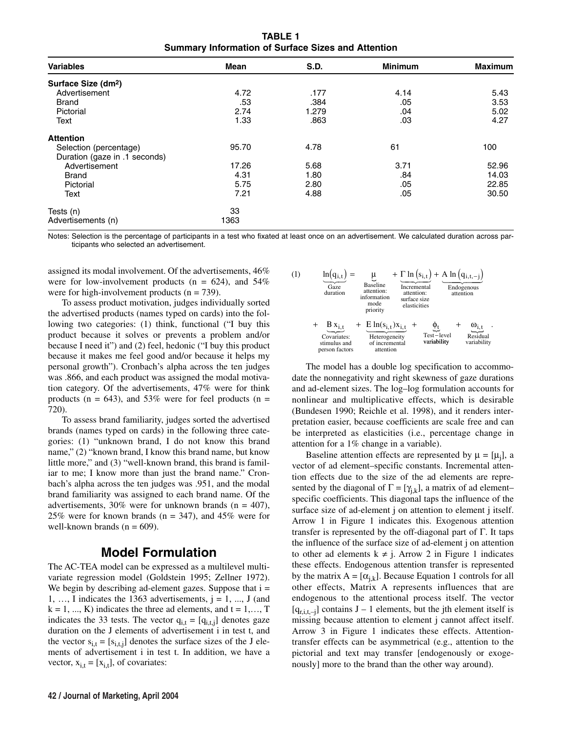**TABLE 1 Summary Information of Surface Sizes and Attention**

| <b>Variables</b>                | Mean  | <b>S.D.</b> | <b>Minimum</b> | <b>Maximum</b> |
|---------------------------------|-------|-------------|----------------|----------------|
| Surface Size (dm <sup>2</sup> ) |       |             |                |                |
| Advertisement                   | 4.72  | .177        | 4.14           | 5.43           |
| <b>Brand</b>                    | .53   | .384        | .05            | 3.53           |
| Pictorial                       | 2.74  | 1.279       | .04            | 5.02           |
| Text                            | 1.33  | .863        | .03            | 4.27           |
| <b>Attention</b>                |       |             |                |                |
| Selection (percentage)          | 95.70 | 4.78        | 61             | 100            |
| Duration (gaze in .1 seconds)   |       |             |                |                |
| Advertisement                   | 17.26 | 5.68        | 3.71           | 52.96          |
| <b>Brand</b>                    | 4.31  | 1.80        | .84            | 14.03          |
| Pictorial                       | 5.75  | 2.80        | .05            | 22.85          |
| Text                            | 7.21  | 4.88        | .05            | 30.50          |
| Tests (n)                       | 33    |             |                |                |
| Advertisements (n)              | 1363  |             |                |                |

Notes: Selection is the percentage of participants in a test who fixated at least once on an advertisement. We calculated duration across participants who selected an advertisement.

assigned its modal involvement. Of the advertisements, 46% were for low-involvement products ( $n = 624$ ), and 54% were for high-involvement products  $(n = 739)$ .

To assess product motivation, judges individually sorted the advertised products (names typed on cards) into the following two categories: (1) think, functional ("I buy this product because it solves or prevents a problem and/or because I need it") and (2) feel, hedonic ("I buy this product because it makes me feel good and/or because it helps my personal growth"). Cronbach's alpha across the ten judges was .866, and each product was assigned the modal motivation category. Of the advertisements, 47% were for think products ( $n = 643$ ), and 53% were for feel products ( $n =$ 720).

To assess brand familiarity, judges sorted the advertised brands (names typed on cards) in the following three categories: (1) "unknown brand, I do not know this brand name," (2) "known brand, I know this brand name, but know little more," and (3) "well-known brand, this brand is familiar to me; I know more than just the brand name." Cronbach's alpha across the ten judges was .951, and the modal brand familiarity was assigned to each brand name. Of the advertisements,  $30\%$  were for unknown brands (n = 407), 25% were for known brands ( $n = 347$ ), and 45% were for well-known brands ( $n = 609$ ).

# **Model Formulation**

The AC-TEA model can be expressed as a multilevel multivariate regression model (Goldstein 1995; Zellner 1972). We begin by describing ad-element gazes. Suppose that  $i =$ 1, ..., I indicates the 1363 advertisements,  $j = 1, ..., J$  (and  $k = 1, ..., K$ ) indicates the three ad elements, and  $t = 1, ..., T$ indicates the 33 tests. The vector  $q_{i,t} = [q_{i,t,j}]$  denotes gaze duration on the J elements of advertisement i in test t, and the vector  $s_{i,t} = [s_{i,t,i}]$  denotes the surface sizes of the J elements of advertisement i in test t. In addition, we have a vector,  $x_{i,t} = [x_{i,t}]$ , of covariates:

$$
(1) \qquad \underbrace{\ln(q_{i,t})}_{\text{Gaze}} = \underbrace{\mu}_{\substack{\text{Basicline}\\ \text{duration}}} + \underbrace{\Gamma \ln(s_{i,t})}_{\text{Incremental}} + \underbrace{A \ln(q_{i,t,-j})}_{\text{Endogenous} \text{attention}} \\ \underbrace{\text{Helmiental}}_{\text{attention}} \\ \underbrace{\text{information}}_{\text{surface size}} \\ + \underbrace{B \, x_{i,t}}_{\text{Covariates:}} + \underbrace{E \ln(s_{i,t}) x_{i,t}}_{\text{Heterogeneity}} + \underbrace{\varphi_t}_{\text{Test-level} \text{Residual}} + \underbrace{\omega_{i,t}}_{\text{Residual} \text{intomial} \text{invariant}}.
$$

The model has a double log specification to accommodate the nonnegativity and right skewness of gaze durations and ad-element sizes. The log–log formulation accounts for nonlinear and multiplicative effects, which is desirable (Bundesen 1990; Reichle et al. 1998), and it renders interpretation easier, because coefficients are scale free and can be interpreted as elasticities (i.e., percentage change in attention for a 1% change in a variable).

Baseline attention effects are represented by  $\mu = [\mu_j]$ , a vector of ad element–specific constants. Incremental attention effects due to the size of the ad elements are represented by the diagonal of  $\Gamma = [\gamma_{i,k}]$ , a matrix of ad element– specific coefficients. This diagonal taps the influence of the surface size of ad-element *j* on attention to element *j* itself. Arrow 1 in Figure 1 indicates this. Exogenous attention transfer is represented by the off-diagonal part of Γ. It taps the influence of the surface size of ad-element j on attention to other ad elements  $k \neq j$ . Arrow 2 in Figure 1 indicates these effects. Endogenous attention transfer is represented by the matrix  $A = [\alpha_{i,k}]$ . Because Equation 1 controls for all other effects, Matrix A represents influences that are endogenous to the attentional process itself. The vector  $[q_{\text{r,i,t}-i}]$  contains J – 1 elements, but the jth element itself is missing because attention to element j cannot affect itself. Arrow 3 in Figure 1 indicates these effects. Attentiontransfer effects can be asymmetrical (e.g., attention to the pictorial and text may transfer [endogenously or exogenously] more to the brand than the other way around).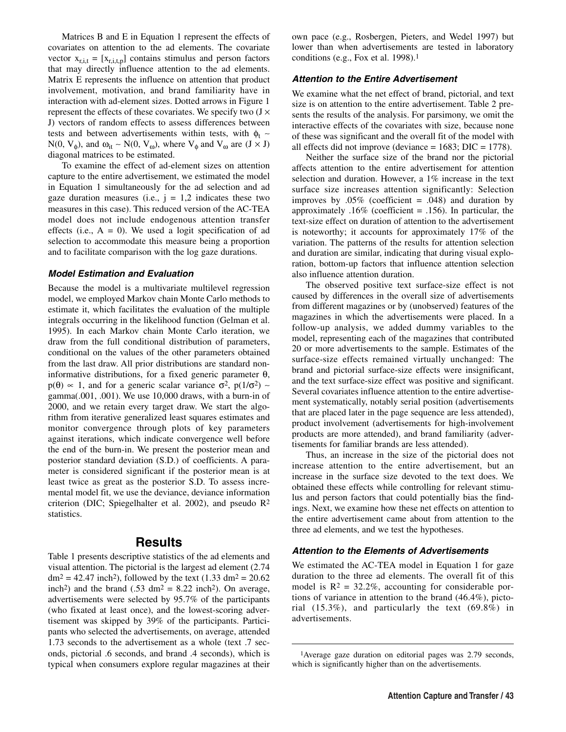Matrices B and E in Equation 1 represent the effects of covariates on attention to the ad elements. The covariate vector  $x_{r,i,t} = [x_{r,i,t,p}]$  contains stimulus and person factors that may directly influence attention to the ad elements. Matrix E represents the influence on attention that product involvement, motivation, and brand familiarity have in interaction with ad-element sizes. Dotted arrows in Figure 1 represent the effects of these covariates. We specify two  $(J \times$ J) vectors of random effects to assess differences between tests and between advertisements within tests, with  $\phi_t \sim$ N(0, V<sub> $\phi$ </sub>), and  $\omega_{it} \sim N(0, V_{\omega})$ , where V<sub> $\phi$ </sub> and V<sub> $\omega$ </sub> are (J × J) diagonal matrices to be estimated.

To examine the effect of ad-element sizes on attention capture to the entire advertisement, we estimated the model in Equation 1 simultaneously for the ad selection and ad gaze duration measures (i.e.,  $j = 1,2$  indicates these two measures in this case). This reduced version of the AC-TEA model does not include endogenous attention transfer effects (i.e.,  $A = 0$ ). We used a logit specification of ad selection to accommodate this measure being a proportion and to facilitate comparison with the log gaze durations.

#### *Model Estimation and Evaluation*

Because the model is a multivariate multilevel regression model, we employed Markov chain Monte Carlo methods to estimate it, which facilitates the evaluation of the multiple integrals occurring in the likelihood function (Gelman et al. 1995). In each Markov chain Monte Carlo iteration, we draw from the full conditional distribution of parameters, conditional on the values of the other parameters obtained from the last draw. All prior distributions are standard noninformative distributions, for a fixed generic parameter θ,  $p(\theta) \propto 1$ , and for a generic scalar variance  $\sigma^2$ ,  $p(1/\sigma^2)$  ~ gamma(.001, .001). We use 10,000 draws, with a burn-in of 2000, and we retain every target draw. We start the algorithm from iterative generalized least squares estimates and monitor convergence through plots of key parameters against iterations, which indicate convergence well before the end of the burn-in. We present the posterior mean and posterior standard deviation (S.D.) of coefficients. A parameter is considered significant if the posterior mean is at least twice as great as the posterior S.D. To assess incremental model fit, we use the deviance, deviance information criterion (DIC; Spiegelhalter et al. 2002), and pseudo R2 statistics.

# **Results**

Table 1 presents descriptive statistics of the ad elements and visual attention. The pictorial is the largest ad element (2.74  $dm^2 = 42.47$  inch<sup>2</sup>), followed by the text (1.33 dm<sup>2</sup> = 20.62 inch<sup>2</sup>) and the brand (.53 dm<sup>2</sup> = 8.22 inch<sup>2</sup>). On average, advertisements were selected by 95.7% of the participants (who fixated at least once), and the lowest-scoring advertisement was skipped by 39% of the participants. Participants who selected the advertisements, on average, attended 1.73 seconds to the advertisement as a whole (text .7 seconds, pictorial .6 seconds, and brand .4 seconds), which is typical when consumers explore regular magazines at their own pace (e.g., Rosbergen, Pieters, and Wedel 1997) but lower than when advertisements are tested in laboratory conditions (e.g., Fox et al. 1998).1

#### *Attention to the Entire Advertisement*

We examine what the net effect of brand, pictorial, and text size is on attention to the entire advertisement. Table 2 presents the results of the analysis. For parsimony, we omit the interactive effects of the covariates with size, because none of these was significant and the overall fit of the model with all effects did not improve (deviance  $= 1683$ ; DIC  $= 1778$ ).

Neither the surface size of the brand nor the pictorial affects attention to the entire advertisement for attention selection and duration. However, a 1% increase in the text surface size increases attention significantly: Selection improves by  $.05\%$  (coefficient = .048) and duration by approximately  $.16\%$  (coefficient =  $.156$ ). In particular, the text-size effect on duration of attention to the advertisement is noteworthy; it accounts for approximately 17% of the variation. The patterns of the results for attention selection and duration are similar, indicating that during visual exploration, bottom-up factors that influence attention selection also influence attention duration.

The observed positive text surface-size effect is not caused by differences in the overall size of advertisements from different magazines or by (unobserved) features of the magazines in which the advertisements were placed. In a follow-up analysis, we added dummy variables to the model, representing each of the magazines that contributed 20 or more advertisements to the sample. Estimates of the surface-size effects remained virtually unchanged: The brand and pictorial surface-size effects were insignificant, and the text surface-size effect was positive and significant. Several covariates influence attention to the entire advertisement systematically, notably serial position (advertisements that are placed later in the page sequence are less attended), product involvement (advertisements for high-involvement products are more attended), and brand familiarity (advertisements for familiar brands are less attended).

Thus, an increase in the size of the pictorial does not increase attention to the entire advertisement, but an increase in the surface size devoted to the text does. We obtained these effects while controlling for relevant stimulus and person factors that could potentially bias the findings. Next, we examine how these net effects on attention to the entire advertisement came about from attention to the three ad elements, and we test the hypotheses.

#### *Attention to the Elements of Advertisements*

We estimated the AC-TEA model in Equation 1 for gaze duration to the three ad elements. The overall fit of this model is  $R^2 = 32.2\%$ , accounting for considerable portions of variance in attention to the brand (46.4%), pictorial (15.3%), and particularly the text (69.8%) in advertisements.

<sup>1</sup>Average gaze duration on editorial pages was 2.79 seconds, which is significantly higher than on the advertisements.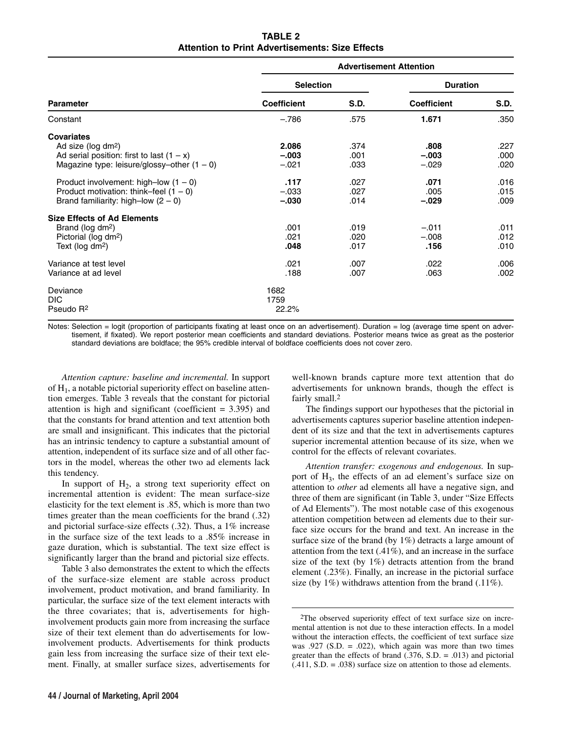| TABLE 2                                                |
|--------------------------------------------------------|
| <b>Attention to Print Advertisements: Size Effects</b> |

|                                                                                                                                            | <b>Advertisement Attention</b> |                      |                            |                      |  |
|--------------------------------------------------------------------------------------------------------------------------------------------|--------------------------------|----------------------|----------------------------|----------------------|--|
|                                                                                                                                            | <b>Selection</b>               |                      | <b>Duration</b>            |                      |  |
| <b>Parameter</b>                                                                                                                           | <b>Coefficient</b>             | <b>S.D.</b>          | <b>Coefficient</b>         | S.D.                 |  |
| Constant                                                                                                                                   | $-.786$                        | .575                 | 1.671                      | .350                 |  |
| <b>Covariates</b><br>Ad size ( $log dm2$ )<br>Ad serial position: first to last $(1 - x)$<br>Magazine type: leisure/glossy-other $(1 - 0)$ | 2.086<br>$-.003$<br>$-.021$    | .374<br>.001<br>.033 | .808<br>$-.003$<br>$-.029$ | .227<br>.000<br>.020 |  |
| Product involvement: high-low $(1 - 0)$<br>Product motivation: think-feel $(1 - 0)$<br>Brand familiarity: high-low $(2 - 0)$               | .117<br>$-.033$<br>$-.030$     | .027<br>.027<br>.014 | .071<br>.005<br>$-.029$    | .016<br>.015<br>.009 |  |
| <b>Size Effects of Ad Elements</b><br>Brand (log dm <sup>2</sup> )<br>Pictorial (log dm <sup>2</sup> )<br>Text ( $log dm^2$ )              | .001<br>.021<br>.048           | .019<br>.020<br>.017 | $-.011$<br>$-.008$<br>.156 | .011<br>.012<br>.010 |  |
| Variance at test level<br>Variance at ad level                                                                                             | .021<br>.188                   | .007<br>.007         | .022<br>.063               | .006<br>.002         |  |
| Deviance<br>DIC.<br>Pseudo R <sup>2</sup>                                                                                                  | 1682<br>1759<br>22.2%          |                      |                            |                      |  |

Notes: Selection = logit (proportion of participants fixating at least once on an advertisement). Duration = log (average time spent on advertisement, if fixated). We report posterior mean coefficients and standard deviations. Posterior means twice as great as the posterior standard deviations are boldface; the 95% credible interval of boldface coefficients does not cover zero.

*Attention capture: baseline and incremental.* In support of  $H<sub>1</sub>$ , a notable pictorial superiority effect on baseline attention emerges. Table 3 reveals that the constant for pictorial attention is high and significant (coefficient = 3.395) and that the constants for brand attention and text attention both are small and insignificant. This indicates that the pictorial has an intrinsic tendency to capture a substantial amount of attention, independent of its surface size and of all other factors in the model, whereas the other two ad elements lack this tendency.

In support of  $H_2$ , a strong text superiority effect on incremental attention is evident: The mean surface-size elasticity for the text element is .85, which is more than two times greater than the mean coefficients for the brand (.32) and pictorial surface-size effects (.32). Thus, a 1% increase in the surface size of the text leads to a .85% increase in gaze duration, which is substantial. The text size effect is significantly larger than the brand and pictorial size effects.

Table 3 also demonstrates the extent to which the effects of the surface-size element are stable across product involvement, product motivation, and brand familiarity. In particular, the surface size of the text element interacts with the three covariates; that is, advertisements for highinvolvement products gain more from increasing the surface size of their text element than do advertisements for lowinvolvement products. Advertisements for think products gain less from increasing the surface size of their text element. Finally, at smaller surface sizes, advertisements for well-known brands capture more text attention that do advertisements for unknown brands, though the effect is fairly small.2

The findings support our hypotheses that the pictorial in advertisements captures superior baseline attention independent of its size and that the text in advertisements captures superior incremental attention because of its size, when we control for the effects of relevant covariates.

*Attention transfer: exogenous and endogenous.* In support of  $H_3$ , the effects of an ad element's surface size on attention to *other* ad elements all have a negative sign, and three of them are significant (in Table 3, under "Size Effects of Ad Elements"). The most notable case of this exogenous attention competition between ad elements due to their surface size occurs for the brand and text. An increase in the surface size of the brand (by  $1\%$ ) detracts a large amount of attention from the text (.41%), and an increase in the surface size of the text (by 1%) detracts attention from the brand element (.23%). Finally, an increase in the pictorial surface size (by  $1\%$ ) withdraws attention from the brand (.11%).

<sup>2</sup>The observed superiority effect of text surface size on incremental attention is not due to these interaction effects. In a model without the interaction effects, the coefficient of text surface size was .927 (S.D. = .022), which again was more than two times greater than the effects of brand  $(.376, S.D. = .013)$  and pictorial (.411, S.D. = .038) surface size on attention to those ad elements.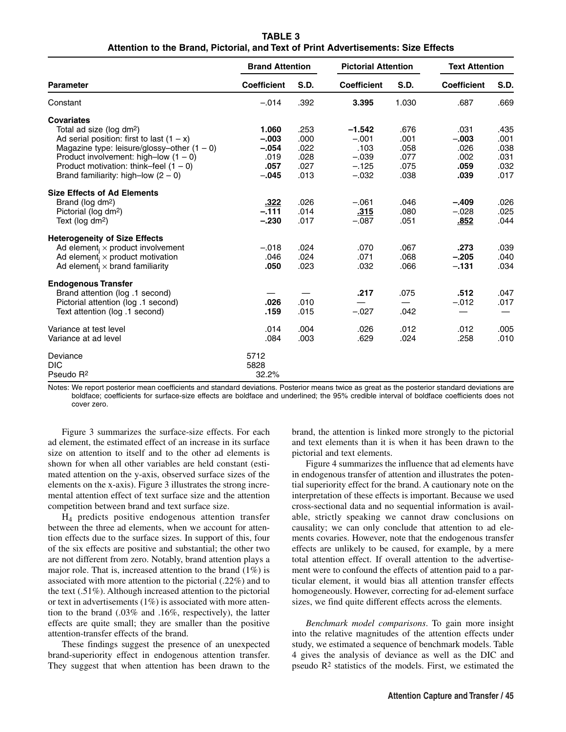| <b>TABLE 3</b>                                                                    |  |  |  |  |
|-----------------------------------------------------------------------------------|--|--|--|--|
| Attention to the Brand, Pictorial, and Text of Print Advertisements: Size Effects |  |  |  |  |

|                                                                                                                                                                                                                                                                                           | <b>Brand Attention</b>                                 |                                              | <b>Pictorial Attention</b>                                   |                                              | <b>Text Attention</b>                           |                                              |
|-------------------------------------------------------------------------------------------------------------------------------------------------------------------------------------------------------------------------------------------------------------------------------------------|--------------------------------------------------------|----------------------------------------------|--------------------------------------------------------------|----------------------------------------------|-------------------------------------------------|----------------------------------------------|
| <b>Parameter</b>                                                                                                                                                                                                                                                                          | <b>Coefficient</b>                                     | S.D.                                         | <b>Coefficient</b>                                           | <b>S.D.</b>                                  | <b>Coefficient</b>                              | <b>S.D.</b>                                  |
| Constant                                                                                                                                                                                                                                                                                  | $-.014$                                                | .392                                         | 3.395                                                        | 1.030                                        | .687                                            | .669                                         |
| <b>Covariates</b><br>Total ad size (log dm <sup>2</sup> )<br>Ad serial position: first to last $(1 - x)$<br>Magazine type: leisure/glossy-other $(1 - 0)$<br>Product involvement: high-low $(1 - 0)$<br>Product motivation: think-feel $(1 - 0)$<br>Brand familiarity: high-low $(2 - 0)$ | 1.060<br>$-.003$<br>$-.054$<br>.019<br>.057<br>$-.045$ | .253<br>.000<br>.022<br>.028<br>.027<br>.013 | $-1.542$<br>$-.001$<br>.103<br>$-.039$<br>$-.125$<br>$-.032$ | .676<br>.001<br>.058<br>.077<br>.075<br>.038 | .031<br>$-.003$<br>.026<br>.002<br>.059<br>.039 | .435<br>.001<br>.038<br>.031<br>.032<br>.017 |
| <b>Size Effects of Ad Elements</b><br>Brand (log dm <sup>2</sup> )<br>Pictorial (log dm <sup>2</sup> )<br>Text ( $log dm^2$ )                                                                                                                                                             | .322<br>$-.111$<br>$-.230$                             | .026<br>.014<br>.017                         | $-.061$<br>.315<br>$-.087$                                   | .046<br>.080<br>.051                         | $-.409$<br>$-.028$<br>.852                      | .026<br>.025<br>.044                         |
| <b>Heterogeneity of Size Effects</b><br>Ad element <sub>i</sub> $\times$ product involvement<br>Ad element $\times$ product motivation<br>Ad element $\times$ brand familiarity                                                                                                           | $-.018$<br>.046<br>.050                                | .024<br>.024<br>.023                         | .070<br>.071<br>.032                                         | .067<br>.068<br>.066                         | .273<br>$-.205$<br>$-.131$                      | .039<br>.040<br>.034                         |
| <b>Endogenous Transfer</b><br>Brand attention (log .1 second)<br>Pictorial attention (log .1 second)<br>Text attention (log .1 second)                                                                                                                                                    | .026<br>.159                                           | .010<br>.015                                 | .217<br>$-.027$                                              | .075<br>.042                                 | .512<br>$-.012$                                 | .047<br>.017                                 |
| Variance at test level<br>Variance at ad level                                                                                                                                                                                                                                            | .014<br>.084                                           | .004<br>.003                                 | .026<br>.629                                                 | .012<br>.024                                 | .012<br>.258                                    | .005<br>.010                                 |
| Deviance<br><b>DIC</b><br>Pseudo R <sup>2</sup>                                                                                                                                                                                                                                           | 5712<br>5828<br>32.2%                                  |                                              |                                                              |                                              |                                                 |                                              |

Notes: We report posterior mean coefficients and standard deviations. Posterior means twice as great as the posterior standard deviations are boldface; coefficients for surface-size effects are boldface and underlined; the 95% credible interval of boldface coefficients does not cover zero.

Figure 3 summarizes the surface-size effects. For each ad element, the estimated effect of an increase in its surface size on attention to itself and to the other ad elements is shown for when all other variables are held constant (estimated attention on the y-axis, observed surface sizes of the elements on the x-axis). Figure 3 illustrates the strong incremental attention effect of text surface size and the attention competition between brand and text surface size.

 $H_4$  predicts positive endogenous attention transfer between the three ad elements, when we account for attention effects due to the surface sizes. In support of this, four of the six effects are positive and substantial; the other two are not different from zero. Notably, brand attention plays a major role. That is, increased attention to the brand (1%) is associated with more attention to the pictorial (.22%) and to the text (.51%). Although increased attention to the pictorial or text in advertisements  $(1%)$  is associated with more attention to the brand (.03% and .16%, respectively), the latter effects are quite small; they are smaller than the positive attention-transfer effects of the brand.

These findings suggest the presence of an unexpected brand-superiority effect in endogenous attention transfer. They suggest that when attention has been drawn to the

brand, the attention is linked more strongly to the pictorial and text elements than it is when it has been drawn to the pictorial and text elements.

Figure 4 summarizes the influence that ad elements have in endogenous transfer of attention and illustrates the potential superiority effect for the brand. A cautionary note on the interpretation of these effects is important. Because we used cross-sectional data and no sequential information is available, strictly speaking we cannot draw conclusions on causality; we can only conclude that attention to ad elements covaries. However, note that the endogenous transfer effects are unlikely to be caused, for example, by a mere total attention effect. If overall attention to the advertisement were to confound the effects of attention paid to a particular element, it would bias all attention transfer effects homogeneously. However, correcting for ad-element surface sizes, we find quite different effects across the elements.

*Benchmark model comparisons*. To gain more insight into the relative magnitudes of the attention effects under study, we estimated a sequence of benchmark models. Table 4 gives the analysis of deviance as well as the DIC and pseudo R2 statistics of the models. First, we estimated the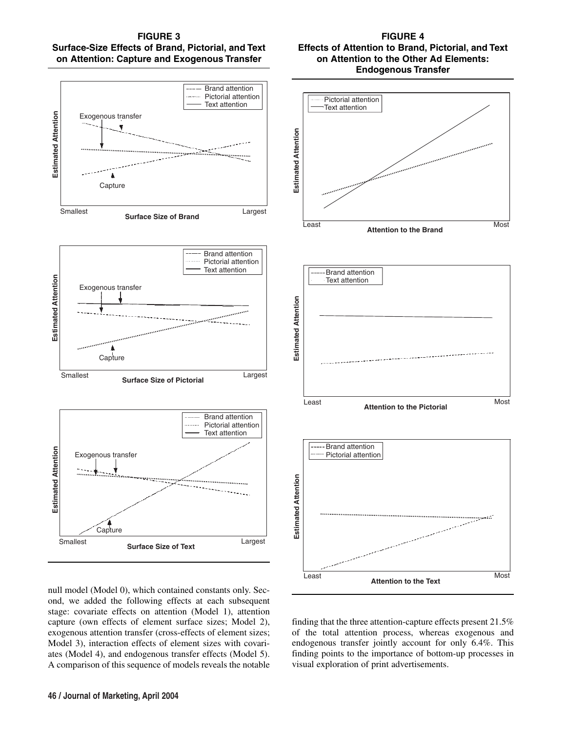**FIGURE 3 Surface-Size Effects of Brand, Pictorial, and Text on Attention: Capture and Exogenous Transfer**



null model (Model 0), which contained constants only. Second, we added the following effects at each subsequent stage: covariate effects on attention (Model 1), attention capture (own effects of element surface sizes; Model 2), exogenous attention transfer (cross-effects of element sizes; Model 3), interaction effects of element sizes with covariates (Model 4), and endogenous transfer effects (Model 5). A comparison of this sequence of models reveals the notable

## **FIGURE 4 Effects of Attention to Brand, Pictorial, and Text on Attention to the Other Ad Elements: Endogenous Transfer**





finding that the three attention-capture effects present 21.5% of the total attention process, whereas exogenous and endogenous transfer jointly account for only 6.4%. This finding points to the importance of bottom-up processes in visual exploration of print advertisements.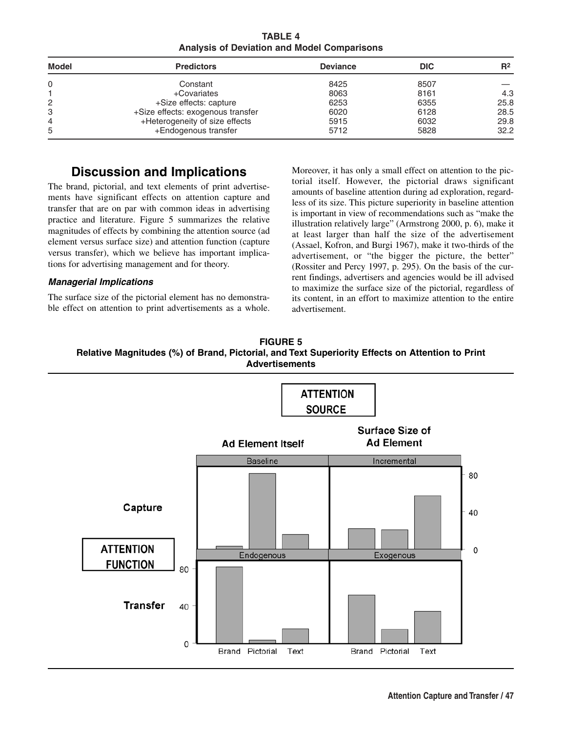**TABLE 4 Analysis of Deviation and Model Comparisons**

| <b>Model</b>   | <b>Predictors</b>                 | <b>Deviance</b> | <b>DIC</b> | R <sup>2</sup> |
|----------------|-----------------------------------|-----------------|------------|----------------|
| 0              | Constant                          | 8425            | 8507       |                |
|                | +Covariates                       | 8063            | 8161       | 4.3            |
| 2              | +Size effects: capture            | 6253            | 6355       | 25.8           |
| 3              | +Size effects: exogenous transfer | 6020            | 6128       | 28.5           |
| $\overline{4}$ | +Heterogeneity of size effects    | 5915            | 6032       | 29.8           |
| 5              | +Endogenous transfer              | 5712            | 5828       | 32.2           |

# **Discussion and Implications**

The brand, pictorial, and text elements of print advertisements have significant effects on attention capture and transfer that are on par with common ideas in advertising practice and literature. Figure 5 summarizes the relative magnitudes of effects by combining the attention source (ad element versus surface size) and attention function (capture versus transfer), which we believe has important implications for advertising management and for theory.

# *Managerial Implications*

The surface size of the pictorial element has no demonstrable effect on attention to print advertisements as a whole. Moreover, it has only a small effect on attention to the pictorial itself. However, the pictorial draws significant amounts of baseline attention during ad exploration, regardless of its size. This picture superiority in baseline attention is important in view of recommendations such as "make the illustration relatively large" (Armstrong 2000, p. 6), make it at least larger than half the size of the advertisement (Assael, Kofron, and Burgi 1967), make it two-thirds of the advertisement, or "the bigger the picture, the better" (Rossiter and Percy 1997, p. 295). On the basis of the current findings, advertisers and agencies would be ill advised to maximize the surface size of the pictorial, regardless of its content, in an effort to maximize attention to the entire advertisement.



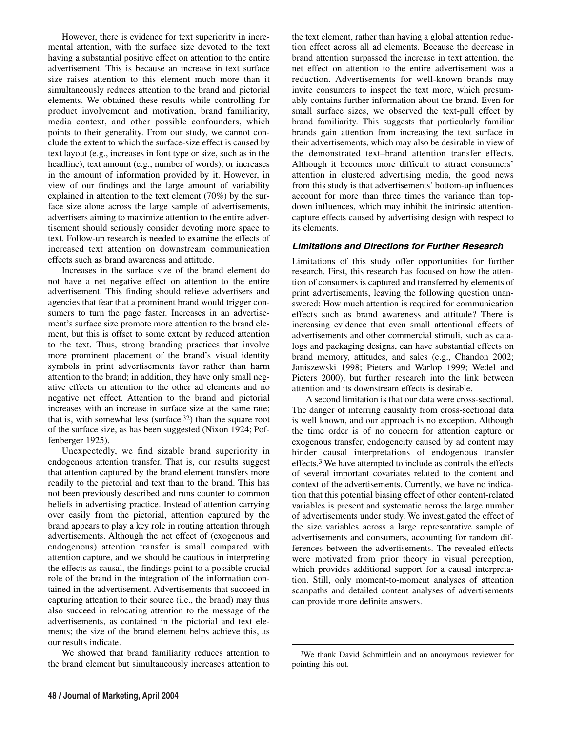However, there is evidence for text superiority in incremental attention, with the surface size devoted to the text having a substantial positive effect on attention to the entire advertisement. This is because an increase in text surface size raises attention to this element much more than it simultaneously reduces attention to the brand and pictorial elements. We obtained these results while controlling for product involvement and motivation, brand familiarity, media context, and other possible confounders, which points to their generality. From our study, we cannot conclude the extent to which the surface-size effect is caused by text layout (e.g., increases in font type or size, such as in the headline), text amount (e.g., number of words), or increases in the amount of information provided by it. However, in view of our findings and the large amount of variability explained in attention to the text element (70%) by the surface size alone across the large sample of advertisements, advertisers aiming to maximize attention to the entire advertisement should seriously consider devoting more space to text. Follow-up research is needed to examine the effects of increased text attention on downstream communication effects such as brand awareness and attitude.

Increases in the surface size of the brand element do not have a net negative effect on attention to the entire advertisement. This finding should relieve advertisers and agencies that fear that a prominent brand would trigger consumers to turn the page faster. Increases in an advertisement's surface size promote more attention to the brand element, but this is offset to some extent by reduced attention to the text. Thus, strong branding practices that involve more prominent placement of the brand's visual identity symbols in print advertisements favor rather than harm attention to the brand; in addition, they have only small negative effects on attention to the other ad elements and no negative net effect. Attention to the brand and pictorial increases with an increase in surface size at the same rate; that is, with somewhat less (surface.32) than the square root of the surface size, as has been suggested (Nixon 1924; Poffenberger 1925).

Unexpectedly, we find sizable brand superiority in endogenous attention transfer. That is, our results suggest that attention captured by the brand element transfers more readily to the pictorial and text than to the brand. This has not been previously described and runs counter to common beliefs in advertising practice. Instead of attention carrying over easily from the pictorial, attention captured by the brand appears to play a key role in routing attention through advertisements. Although the net effect of (exogenous and endogenous) attention transfer is small compared with attention capture, and we should be cautious in interpreting the effects as causal, the findings point to a possible crucial role of the brand in the integration of the information contained in the advertisement. Advertisements that succeed in capturing attention to their source (i.e., the brand) may thus also succeed in relocating attention to the message of the advertisements, as contained in the pictorial and text elements; the size of the brand element helps achieve this, as our results indicate.

We showed that brand familiarity reduces attention to the brand element but simultaneously increases attention to

the text element, rather than having a global attention reduction effect across all ad elements. Because the decrease in brand attention surpassed the increase in text attention, the net effect on attention to the entire advertisement was a reduction. Advertisements for well-known brands may invite consumers to inspect the text more, which presumably contains further information about the brand. Even for small surface sizes, we observed the text-pull effect by brand familiarity. This suggests that particularly familiar brands gain attention from increasing the text surface in their advertisements, which may also be desirable in view of the demonstrated text–brand attention transfer effects. Although it becomes more difficult to attract consumers' attention in clustered advertising media, the good news from this study is that advertisements' bottom-up influences account for more than three times the variance than topdown influences, which may inhibit the intrinsic attentioncapture effects caused by advertising design with respect to its elements.

#### *Limitations and Directions for Further Research*

Limitations of this study offer opportunities for further research. First, this research has focused on how the attention of consumers is captured and transferred by elements of print advertisements, leaving the following question unanswered: How much attention is required for communication effects such as brand awareness and attitude? There is increasing evidence that even small attentional effects of advertisements and other commercial stimuli, such as catalogs and packaging designs, can have substantial effects on brand memory, attitudes, and sales (e.g., Chandon 2002; Janiszewski 1998; Pieters and Warlop 1999; Wedel and Pieters 2000), but further research into the link between attention and its downstream effects is desirable.

A second limitation is that our data were cross-sectional. The danger of inferring causality from cross-sectional data is well known, and our approach is no exception. Although the time order is of no concern for attention capture or exogenous transfer, endogeneity caused by ad content may hinder causal interpretations of endogenous transfer effects.3 We have attempted to include as controls the effects of several important covariates related to the content and context of the advertisements. Currently, we have no indication that this potential biasing effect of other content-related variables is present and systematic across the large number of advertisements under study. We investigated the effect of the size variables across a large representative sample of advertisements and consumers, accounting for random differences between the advertisements. The revealed effects were motivated from prior theory in visual perception, which provides additional support for a causal interpretation. Still, only moment-to-moment analyses of attention scanpaths and detailed content analyses of advertisements can provide more definite answers.

<sup>3</sup>We thank David Schmittlein and an anonymous reviewer for pointing this out.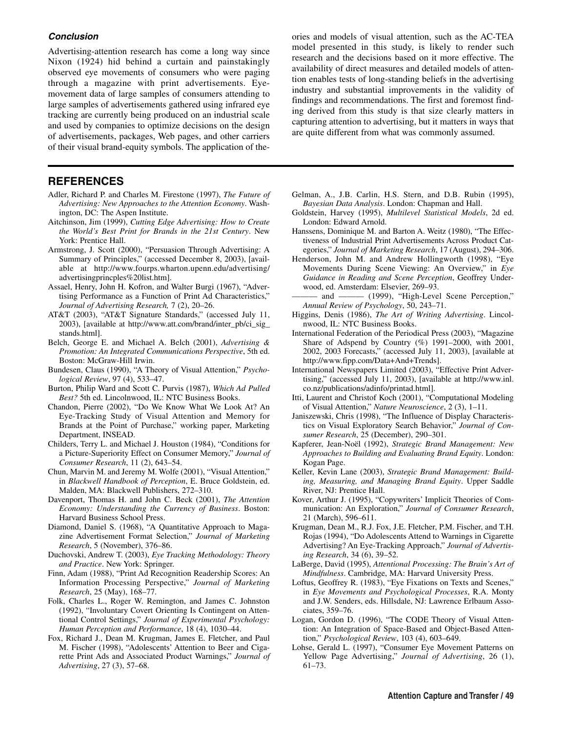#### *Conclusion*

Advertising-attention research has come a long way since Nixon (1924) hid behind a curtain and painstakingly observed eye movements of consumers who were paging through a magazine with print advertisements. Eyemovement data of large samples of consumers attending to large samples of advertisements gathered using infrared eye tracking are currently being produced on an industrial scale and used by companies to optimize decisions on the design of advertisements, packages, Web pages, and other carriers of their visual brand-equity symbols. The application of the-

#### **REFERENCES**

- Adler, Richard P. and Charles M. Firestone (1997), *The Future of Advertising: New Approaches to the Attention Economy*. Washington, DC: The Aspen Institute.
- Aitchinson, Jim (1999), *Cutting Edge Advertising: How to Create the World's Best Print for Brands in the 21st Century*. New York: Prentice Hall.
- Armstrong, J. Scott (2000), "Persuasion Through Advertising: A Summary of Principles," (accessed December 8, 2003), [available at http://www.fourps.wharton.upenn.edu/advertising/ advertisingprincples%20list.htm].
- Assael, Henry, John H. Kofron, and Walter Burgi (1967), "Advertising Performance as a Function of Print Ad Characteristics," *Journal of Advertising Research,* 7 (2), 20–26.
- AT&T (2003), "AT&T Signature Standards," (accessed July 11, 2003), [available at http://www.att.com/brand/inter\_pb/ci\_sig\_ stands.html].
- Belch, George E. and Michael A. Belch (2001), *Advertising & Promotion: An Integrated Communications Perspective*, 5th ed. Boston: McGraw-Hill Irwin.
- Bundesen, Claus (1990), "A Theory of Visual Attention," *Psychological Review*, 97 (4), 533–47.
- Burton, Philip Ward and Scott C. Purvis (1987), *Which Ad Pulled Best?* 5th ed. Lincolnwood, IL: NTC Business Books.
- Chandon, Pierre (2002), "Do We Know What We Look At? An Eye-Tracking Study of Visual Attention and Memory for Brands at the Point of Purchase," working paper, Marketing Department, INSEAD.
- Childers, Terry L. and Michael J. Houston (1984), "Conditions for a Picture-Superiority Effect on Consumer Memory," *Journal of Consumer Research*, 11 (2), 643–54.
- Chun, Marvin M. and Jeremy M. Wolfe (2001), "Visual Attention," in *Blackwell Handbook of Perception*, E. Bruce Goldstein, ed. Malden, MA: Blackwell Publishers, 272–310.
- Davenport, Thomas H. and John C. Beck (2001), *The Attention Economy: Understanding the Currency of Business*. Boston: Harvard Business School Press.
- Diamond, Daniel S. (1968), "A Quantitative Approach to Magazine Advertisement Format Selection," *Journal of Marketing Research*, 5 (November), 376–86.
- Duchovski, Andrew T. (2003), *Eye Tracking Methodology: Theory and Practice*. New York: Springer.
- Finn, Adam (1988), "Print Ad Recognition Readership Scores: An Information Processing Perspective," *Journal of Marketing Research*, 25 (May), 168–77.
- Folk, Charles L., Roger W. Remington, and James C. Johnston (1992), "Involuntary Covert Orienting Is Contingent on Attentional Control Settings," *Journal of Experimental Psychology: Human Perception and Performance*, 18 (4), 1030–44.
- Fox, Richard J., Dean M. Krugman, James E. Fletcher, and Paul M. Fischer (1998), "Adolescents' Attention to Beer and Cigarette Print Ads and Associated Product Warnings," *Journal of Advertising*, 27 (3), 57–68.

ories and models of visual attention, such as the AC-TEA model presented in this study, is likely to render such research and the decisions based on it more effective. The availability of direct measures and detailed models of attention enables tests of long-standing beliefs in the advertising industry and substantial improvements in the validity of findings and recommendations. The first and foremost finding derived from this study is that size clearly matters in capturing attention to advertising, but it matters in ways that are quite different from what was commonly assumed.

- Gelman, A., J.B. Carlin, H.S. Stern, and D.B. Rubin (1995), *Bayesian Data Analysis*. London: Chapman and Hall.
- Goldstein, Harvey (1995), *Multilevel Statistical Models*, 2d ed. London: Edward Arnold.
- Hanssens, Dominique M. and Barton A. Weitz (1980), "The Effectiveness of Industrial Print Advertisements Across Product Categories," *Journal of Marketing Research*, 17 (August), 294–306.
- Henderson, John M. and Andrew Hollingworth (1998), "Eye Movements During Scene Viewing: An Overview," in *Eye Guidance in Reading and Scene Perception*, Geoffrey Underwood, ed. Amsterdam: Elsevier, 269–93.
- and ——— (1999), "High-Level Scene Perception," *Annual Review of Psychology*, 50, 243–71.
- Higgins, Denis (1986), *The Art of Writing Advertising*. Lincolnwood, IL: NTC Business Books.
- International Federation of the Periodical Press (2003), "Magazine Share of Adspend by Country (%) 1991–2000, with 2001, 2002, 2003 Forecasts," (accessed July 11, 2003), [available at http://www.fipp.com/Data+And+Trends].
- International Newspapers Limited (2003), "Effective Print Advertising," (accessed July 11, 2003), [available at http://www.inl. co.nz/publications/adinfo/printad.html].
- Itti, Laurent and Christof Koch (2001), "Computational Modeling of Visual Attention," *Nature Neuroscience*, 2 (3), 1–11.
- Janiszewski, Chris (1998), "The Influence of Display Characteristics on Visual Exploratory Search Behavior," *Journal of Consumer Research*, 25 (December), 290–301.
- Kapferer, Jean-Noël (1992), *Strategic Brand Management: New Approaches to Building and Evaluating Brand Equity*. London: Kogan Page.
- Keller, Kevin Lane (2003), *Strategic Brand Management: Building, Measuring, and Managing Brand Equity*. Upper Saddle River, NJ: Prentice Hall.
- Kover, Arthur J. (1995), "Copywriters' Implicit Theories of Communication: An Exploration," *Journal of Consumer Research*, 21 (March), 596–611.
- Krugman, Dean M., R.J. Fox, J.E. Fletcher, P.M. Fischer, and T.H. Rojas (1994), "Do Adolescents Attend to Warnings in Cigarette Advertising? An Eye-Tracking Approach," *Journal of Advertising Research*, 34 (6), 39–52.
- LaBerge, David (1995), *Attentional Processing: The Brain's Art of Mindfulness*. Cambridge, MA: Harvard University Press.
- Loftus, Geoffrey R. (1983), "Eye Fixations on Texts and Scenes," in *Eye Movements and Psychological Processes*, R.A. Monty and J.W. Senders, eds. Hillsdale, NJ: Lawrence Erlbaum Associates, 359–76.
- Logan, Gordon D. (1996), "The CODE Theory of Visual Attention: An Integration of Space-Based and Object-Based Attention," *Psychological Review*, 103 (4), 603–649.
- Lohse, Gerald L. (1997), "Consumer Eye Movement Patterns on Yellow Page Advertising," *Journal of Advertising*, 26 (1), 61–73.